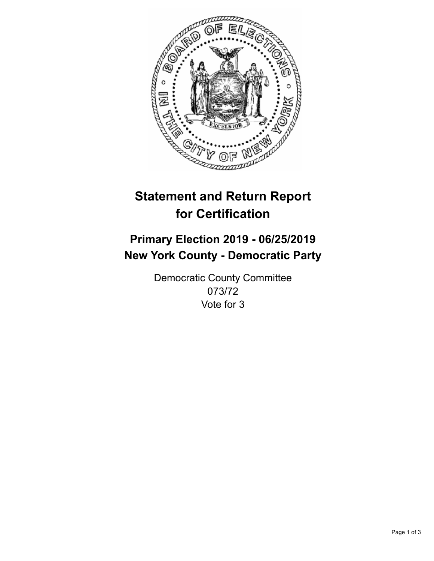

## **Statement and Return Report for Certification**

## **Primary Election 2019 - 06/25/2019 New York County - Democratic Party**

Democratic County Committee 073/72 Vote for 3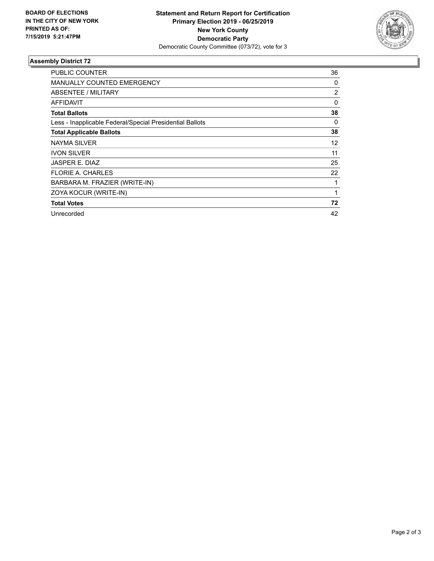

## **Assembly District 72**

| <b>PUBLIC COUNTER</b>                                    | 36       |
|----------------------------------------------------------|----------|
| <b>MANUALLY COUNTED EMERGENCY</b>                        | 0        |
| ABSENTEE / MILITARY                                      | 2        |
| AFFIDAVIT                                                | $\Omega$ |
| <b>Total Ballots</b>                                     | 38       |
| Less - Inapplicable Federal/Special Presidential Ballots | 0        |
| <b>Total Applicable Ballots</b>                          | 38       |
| NAYMA SILVER                                             | 12       |
| <b>IVON SILVER</b>                                       | 11       |
| <b>JASPER E. DIAZ</b>                                    | 25       |
| <b>FLORIE A. CHARLES</b>                                 | 22       |
| BARBARA M. FRAZIER (WRITE-IN)                            | 1        |
| ZOYA KOCUR (WRITE-IN)                                    | 1        |
| <b>Total Votes</b>                                       | 72       |
| Unrecorded                                               | 42       |